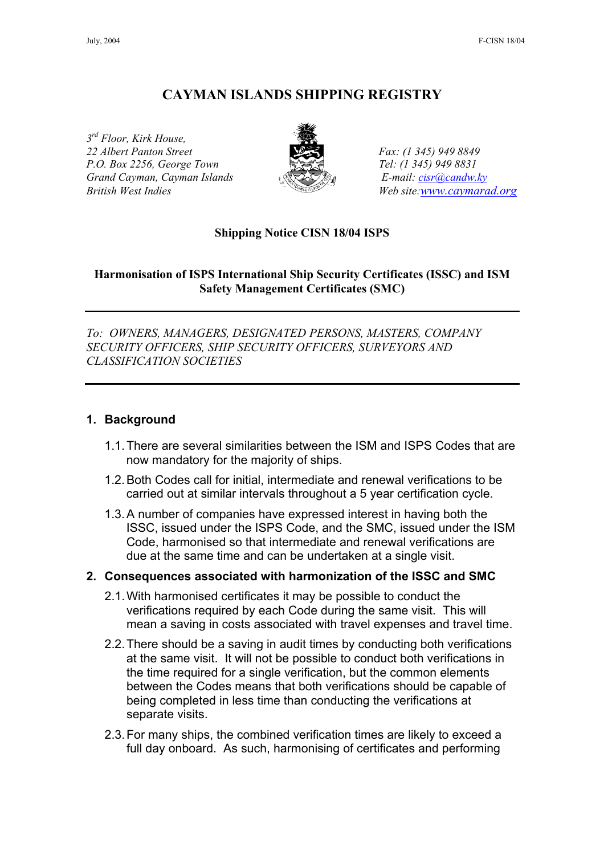# **CAYMAN ISLANDS SHIPPING REGISTRY**

*3rd Floor, Kirk House, 22 Albert Panton Street Fax: (1 345) 949 8849 P.O. Box 2256, George Town Tel: (1 345) 949 8831 Grand Cayman, Cayman Islands E-mail: [cisr@candw.ky](mailto:cisr@candw.ky) British West Indies* Web site[:www.caymarad.org](http://www.caymard.org/)



#### **Shipping Notice CISN 18/04 ISPS**

### **Harmonisation of ISPS International Ship Security Certificates (ISSC) and ISM Safety Management Certificates (SMC)**

*To: OWNERS, MANAGERS, DESIGNATED PERSONS, MASTERS, COMPANY SECURITY OFFICERS, SHIP SECURITY OFFICERS, SURVEYORS AND CLASSIFICATION SOCIETIES* 

#### **1. Background**

- 1.1. There are several similarities between the ISM and ISPS Codes that are now mandatory for the majority of ships.
- 1.2. Both Codes call for initial, intermediate and renewal verifications to be carried out at similar intervals throughout a 5 year certification cycle.
- 1.3. A number of companies have expressed interest in having both the ISSC, issued under the ISPS Code, and the SMC, issued under the ISM Code, harmonised so that intermediate and renewal verifications are due at the same time and can be undertaken at a single visit.

#### **2. Consequences associated with harmonization of the ISSC and SMC**

- 2.1. With harmonised certificates it may be possible to conduct the verifications required by each Code during the same visit. This will mean a saving in costs associated with travel expenses and travel time.
- 2.2. There should be a saving in audit times by conducting both verifications at the same visit. It will not be possible to conduct both verifications in the time required for a single verification, but the common elements between the Codes means that both verifications should be capable of being completed in less time than conducting the verifications at separate visits.
- 2.3. For many ships, the combined verification times are likely to exceed a full day onboard. As such, harmonising of certificates and performing